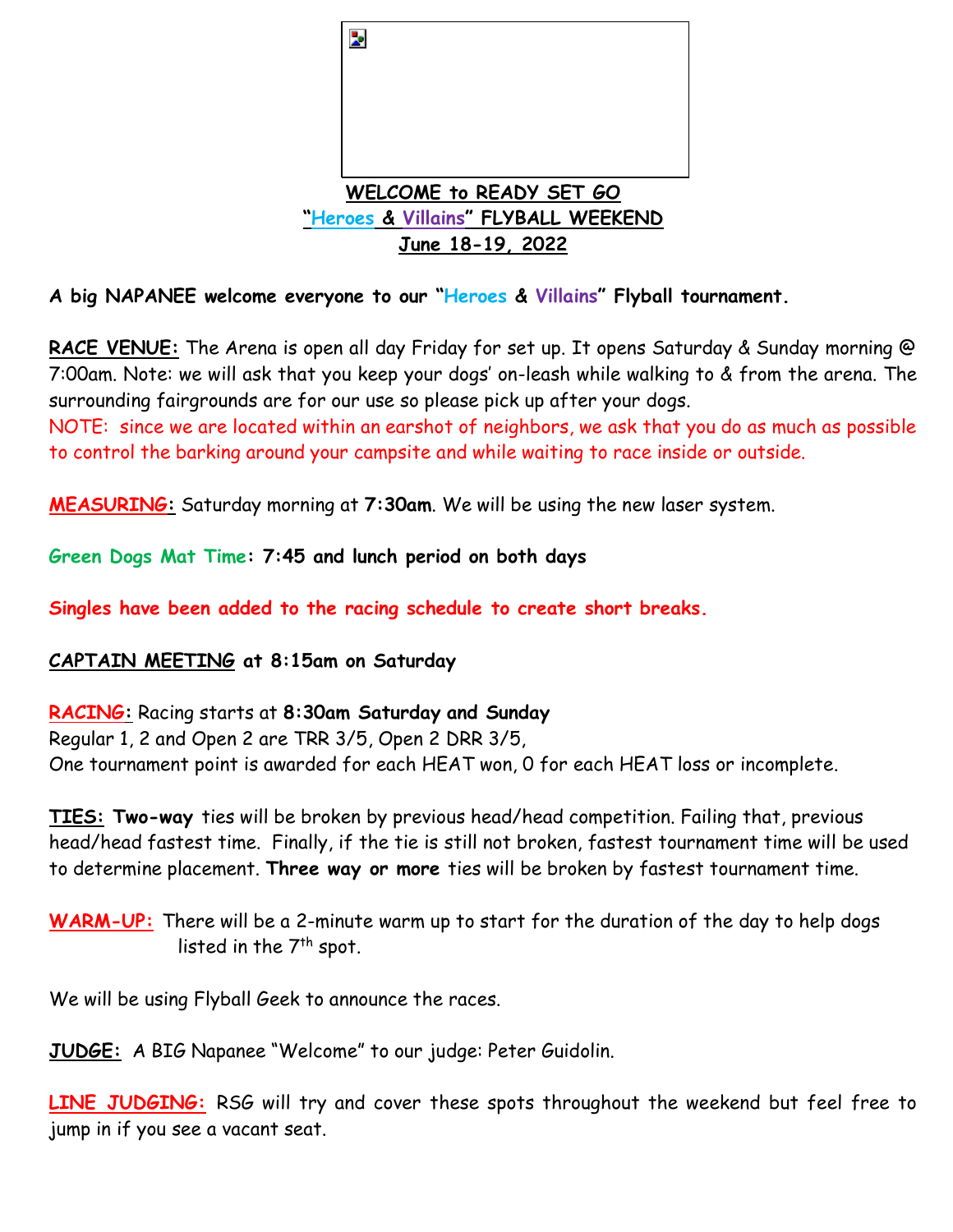

**A big NAPANEE welcome everyone to our "Heroes & Villains" Flyball tournament.** 

RACE VENUE: The Arena is open all day Friday for set up. It opens Saturday & Sunday morning @ 7:00am. Note: we will ask that you keep your dogs' on-leash while walking to & from the arena. The surrounding fairgrounds are for our use so please pick up after your dogs.

NOTE: since we are located within an earshot of neighbors, we ask that you do as much as possible to control the barking around your campsite and while waiting to race inside or outside.

**MEASURING:** Saturday morning at **7:30am**. We will be using the new laser system.

**Green Dogs Mat Time: 7:45 and lunch period on both days**

**Singles have been added to the racing schedule to create short breaks.**

**CAPTAIN MEETING at 8:15am on Saturday**

**RACING:** Racing starts at **8:30am Saturday and Sunday** Regular 1, 2 and Open 2 are TRR 3/5, Open 2 DRR 3/5, One tournament point is awarded for each HEAT won, 0 for each HEAT loss or incomplete.

**TIES: Two-way** ties will be broken by previous head/head competition. Failing that, previous head/head fastest time. Finally, if the tie is still not broken, fastest tournament time will be used to determine placement. **Three way or more** ties will be broken by fastest tournament time.

**WARM-UP:** There will be a 2-minute warm up to start for the duration of the day to help dogs listed in the 7<sup>th</sup> spot.

We will be using Flyball Geek to announce the races.

**JUDGE:** A BIG Napanee "Welcome" to our judge: Peter Guidolin.

**LINE JUDGING:** RSG will try and cover these spots throughout the weekend but feel free to jump in if you see a vacant seat.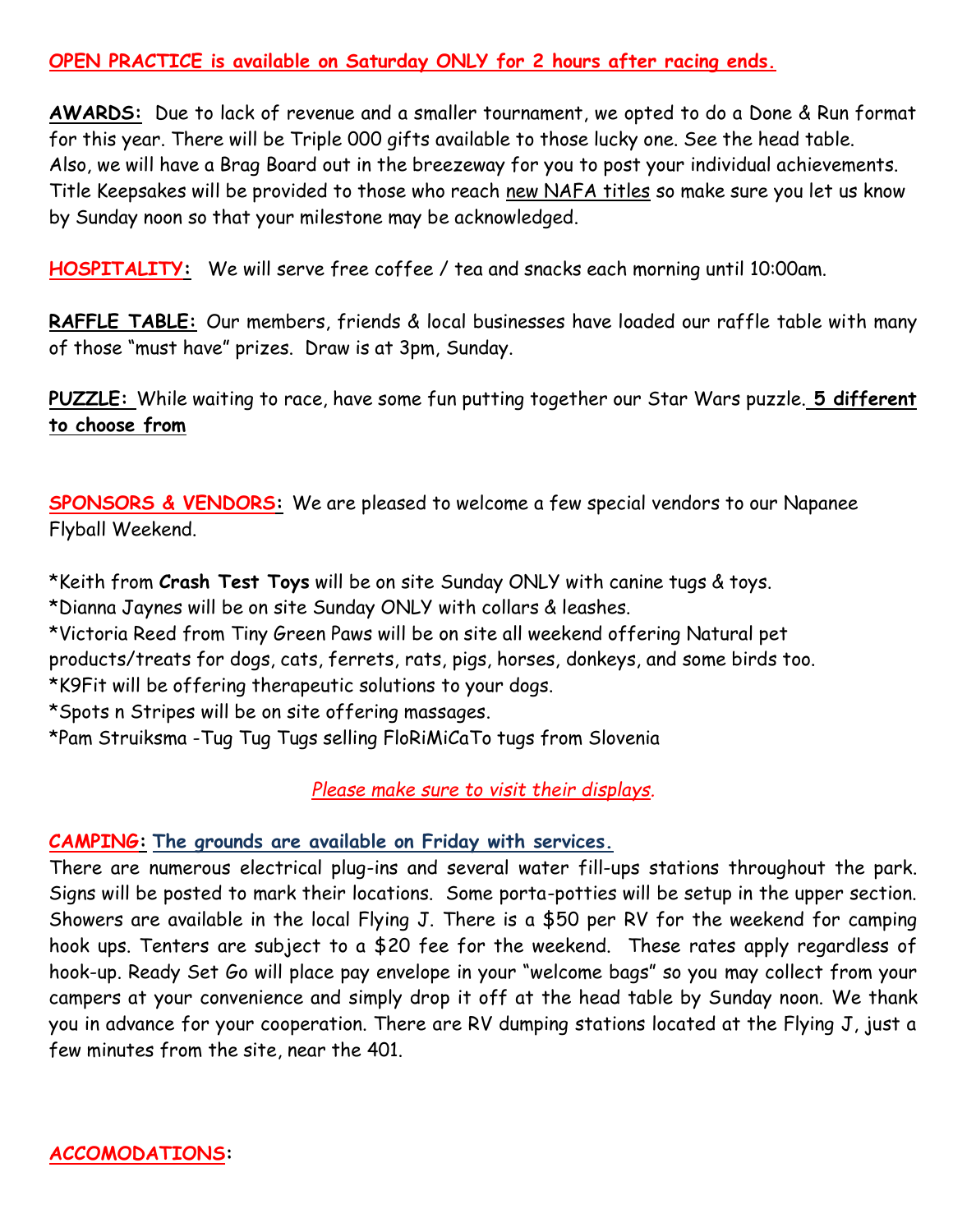### **OPEN PRACTICE is available on Saturday ONLY for 2 hours after racing ends.**

**AWARDS:** Due to lack of revenue and a smaller tournament, we opted to do a Done & Run format for this year. There will be Triple 000 gifts available to those lucky one. See the head table. Also, we will have a Brag Board out in the breezeway for you to post your individual achievements. Title Keepsakes will be provided to those who reach new NAFA titles so make sure you let us know by Sunday noon so that your milestone may be acknowledged.

**HOSPITALITY:** We will serve free coffee / tea and snacks each morning until 10:00am.

**RAFFLE TABLE:** Our members, friends & local businesses have loaded our raffle table with many of those "must have" prizes. Draw is at 3pm, Sunday.

**PUZZLE:** While waiting to race, have some fun putting together our Star Wars puzzle. **5 different to choose from**

**SPONSORS & VENDORS:** We are pleased to welcome a few special vendors to our Napanee Flyball Weekend.

\*Keith from **Crash Test Toys** will be on site Sunday ONLY with canine tugs & toys. \*Dianna Jaynes will be on site Sunday ONLY with collars & leashes.

\*Victoria Reed from Tiny Green Paws will be on site all weekend offering Natural pet

products/treats for dogs, cats, ferrets, rats, pigs, horses, donkeys, and some birds too.

\*K9Fit will be offering therapeutic solutions to your dogs.

\*Spots n Stripes will be on site offering massages.

\*Pam Struiksma -Tug Tug Tugs selling FloRiMiCaTo tugs from Slovenia

# *Please make sure to visit their displays.*

# **CAMPING: The grounds are available on Friday with services.**

There are numerous electrical plug-ins and several water fill-ups stations throughout the park. Signs will be posted to mark their locations. Some porta-potties will be setup in the upper section. Showers are available in the local Flying J. There is a \$50 per RV for the weekend for camping hook ups. Tenters are subject to a \$20 fee for the weekend. These rates apply regardless of hook-up. Ready Set Go will place pay envelope in your "welcome bags" so you may collect from your campers at your convenience and simply drop it off at the head table by Sunday noon. We thank you in advance for your cooperation. There are RV dumping stations located at the Flying J, just a few minutes from the site, near the 401.